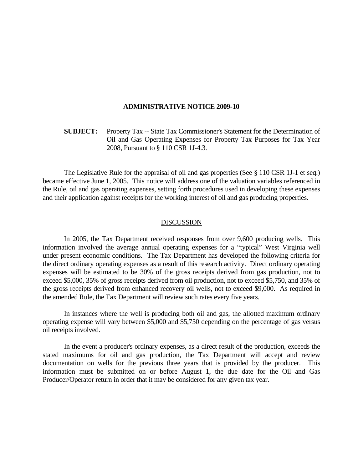## **ADMINISTRATIVE NOTICE 2009-10**

 **SUBJECT:** Property Tax -- State Tax Commissioner's Statement for the Determination of Oil and Gas Operating Expenses for Property Tax Purposes for Tax Year 2008, Pursuant to § 110 CSR 1J-4.3.

 The Legislative Rule for the appraisal of oil and gas properties (See § 110 CSR 1J-1 et seq.) became effective June 1, 2005. This notice will address one of the valuation variables referenced in the Rule, oil and gas operating expenses, setting forth procedures used in developing these expenses and their application against receipts for the working interest of oil and gas producing properties.

## DISCUSSION

 In 2005, the Tax Department received responses from over 9,600 producing wells. This information involved the average annual operating expenses for a "typical" West Virginia well under present economic conditions. The Tax Department has developed the following criteria for the direct ordinary operating expenses as a result of this research activity. Direct ordinary operating expenses will be estimated to be 30% of the gross receipts derived from gas production, not to exceed \$5,000, 35% of gross receipts derived from oil production, not to exceed \$5,750, and 35% of the gross receipts derived from enhanced recovery oil wells, not to exceed \$9,000. As required in the amended Rule, the Tax Department will review such rates every five years.

 In instances where the well is producing both oil and gas, the allotted maximum ordinary operating expense will vary between \$5,000 and \$5,750 depending on the percentage of gas versus oil receipts involved.

 In the event a producer's ordinary expenses, as a direct result of the production, exceeds the stated maximums for oil and gas production, the Tax Department will accept and review documentation on wells for the previous three years that is provided by the producer. This information must be submitted on or before August 1, the due date for the Oil and Gas Producer/Operator return in order that it may be considered for any given tax year.